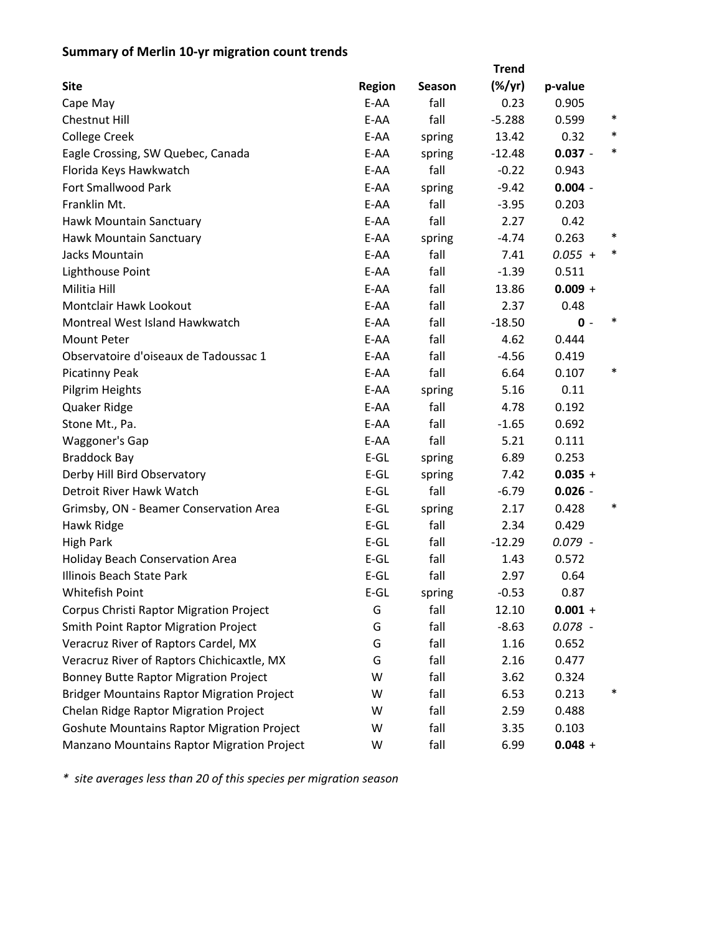## **Summary of Merlin 10‐yr migration count trends**

| <b>Site</b>                                       | <b>Region</b> | Season | $(\%/yr)$ | p-value   |        |
|---------------------------------------------------|---------------|--------|-----------|-----------|--------|
| Cape May                                          | E-AA          | fall   | 0.23      | 0.905     |        |
| <b>Chestnut Hill</b>                              | E-AA          | fall   | $-5.288$  | 0.599     | $\ast$ |
| <b>College Creek</b>                              | E-AA          | spring | 13.42     | 0.32      | $\ast$ |
| Eagle Crossing, SW Quebec, Canada                 | E-AA          | spring | $-12.48$  | $0.037 -$ | $\ast$ |
| Florida Keys Hawkwatch                            | E-AA          | fall   | $-0.22$   | 0.943     |        |
| <b>Fort Smallwood Park</b>                        | E-AA          | spring | $-9.42$   | $0.004 -$ |        |
| Franklin Mt.                                      | E-AA          | fall   | $-3.95$   | 0.203     |        |
| Hawk Mountain Sanctuary                           | E-AA          | fall   | 2.27      | 0.42      |        |
| Hawk Mountain Sanctuary                           | E-AA          | spring | $-4.74$   | 0.263     | $\ast$ |
| Jacks Mountain                                    | E-AA          | fall   | 7.41      | $0.055 +$ | $\ast$ |
| Lighthouse Point                                  | E-AA          | fall   | $-1.39$   | 0.511     |        |
| Militia Hill                                      | E-AA          | fall   | 13.86     | $0.009 +$ |        |
| <b>Montclair Hawk Lookout</b>                     | E-AA          | fall   | 2.37      | 0.48      |        |
| Montreal West Island Hawkwatch                    | E-AA          | fall   | $-18.50$  | $0 -$     | $\ast$ |
| <b>Mount Peter</b>                                | E-AA          | fall   | 4.62      | 0.444     |        |
| Observatoire d'oiseaux de Tadoussac 1             | E-AA          | fall   | $-4.56$   | 0.419     |        |
| <b>Picatinny Peak</b>                             | E-AA          | fall   | 6.64      | 0.107     | ∗      |
| Pilgrim Heights                                   | E-AA          | spring | 5.16      | 0.11      |        |
| Quaker Ridge                                      | E-AA          | fall   | 4.78      | 0.192     |        |
| Stone Mt., Pa.                                    | E-AA          | fall   | $-1.65$   | 0.692     |        |
| Waggoner's Gap                                    | E-AA          | fall   | 5.21      | 0.111     |        |
| <b>Braddock Bay</b>                               | $E-GL$        | spring | 6.89      | 0.253     |        |
| Derby Hill Bird Observatory                       | $E-GL$        | spring | 7.42      | $0.035 +$ |        |
| Detroit River Hawk Watch                          | $E-GL$        | fall   | $-6.79$   | $0.026 -$ |        |
| Grimsby, ON - Beamer Conservation Area            | $E$ -GL       | spring | 2.17      | 0.428     | $\ast$ |
| Hawk Ridge                                        | $E-GL$        | fall   | 2.34      | 0.429     |        |
| <b>High Park</b>                                  | $E-GL$        | fall   | $-12.29$  | $0.079 -$ |        |
| <b>Holiday Beach Conservation Area</b>            | $E-GL$        | fall   | 1.43      | 0.572     |        |
| Illinois Beach State Park                         | $E$ -GL       | fall   | 2.97      | 0.64      |        |
| Whitefish Point                                   | $E$ -GL       | spring | $-0.53$   | 0.87      |        |
| Corpus Christi Raptor Migration Project           | G             | fall   | 12.10     | $0.001 +$ |        |
| <b>Smith Point Raptor Migration Project</b>       | G             | fall   | $-8.63$   | $0.078 -$ |        |
| Veracruz River of Raptors Cardel, MX              | G             | fall   | 1.16      | 0.652     |        |
| Veracruz River of Raptors Chichicaxtle, MX        | G             | fall   | 2.16      | 0.477     |        |
| <b>Bonney Butte Raptor Migration Project</b>      | W             | fall   | 3.62      | 0.324     |        |
| <b>Bridger Mountains Raptor Migration Project</b> | W             | fall   | 6.53      | 0.213     | $\ast$ |
| Chelan Ridge Raptor Migration Project             | W             | fall   | 2.59      | 0.488     |        |
| <b>Goshute Mountains Raptor Migration Project</b> | W             | fall   | 3.35      | 0.103     |        |
| Manzano Mountains Raptor Migration Project        | W             | fall   | 6.99      | $0.048 +$ |        |

*\* site averages less than 20 of this species per migration season*